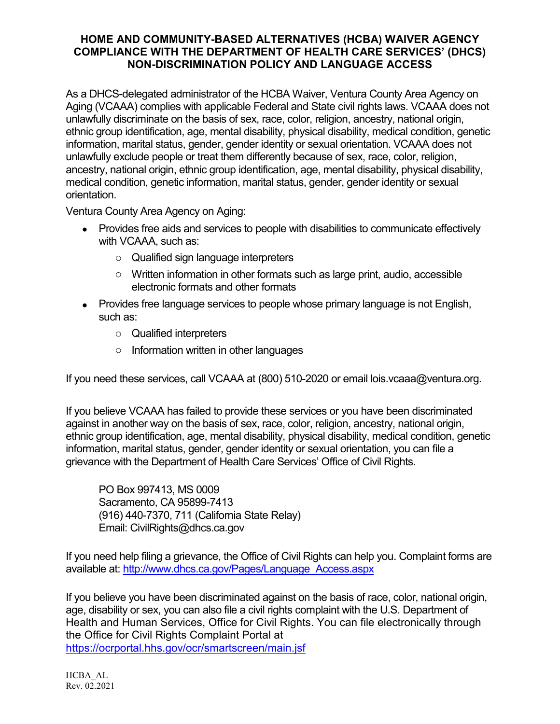## **HOME AND COMMUNITY-BASED ALTERNATIVES (HCBA) WAIVER AGENCY COMPLIANCE WITH THE DEPARTMENT OF HEALTH CARE SERVICES' (DHCS) NON-DISCRIMINATION POLICY AND LANGUAGE ACCESS**

As a DHCS-delegated administrator of the HCBA Waiver, Ventura County Area Agency on Aging (VCAAA) complies with applicable Federal and State civil rights laws. VCAAA does not unlawfully discriminate on the basis of sex, race, color, religion, ancestry, national origin, ethnic group identification, age, mental disability, physical disability, medical condition, genetic information, marital status, gender, gender identity or sexual orientation. VCAAA does not unlawfully exclude people or treat them differently because of sex, race, color, religion, ancestry, national origin, ethnic group identification, age, mental disability, physical disability, medical condition, genetic information, marital status, gender, gender identity or sexual orientation.

Ventura County Area Agency on Aging:

- Provides free aids and services to people with disabilities to communicate effectively with VCAAA, such as:
	- o Qualified sign language interpreters
	- $\circ$  Written information in other formats such as large print, audio, accessible electronic formats and other formats
- Provides free language services to people whose primary language is not English, such as:
	- o Qualified interpreters
	- o Information written in other languages

If you need these services, call VCAAA at (800) 510-2020 or email lois.vcaaa@ventura.org.

If you believe VCAAA has failed to provide these services or you have been discriminated against in another way on the basis of sex, race, color, religion, ancestry, national origin, ethnic group identification, age, mental disability, physical disability, medical condition, genetic information, marital status, gender, gender identity or sexual orientation, you can file a grievance with the Department of Health Care Services' Office of Civil Rights.

PO Box 997413, MS 0009 Sacramento, CA 95899-7413 (916) 440-7370, 711 (California State Relay) Email: CivilRights@dhcs.ca.gov

If you need help filing a grievance, the Office of Civil Rights can help you. Complaint forms are available at: [http://www.dhcs.ca.gov/Pages/Language\\_Access.aspx](http://www.dhcs.ca.gov/Pages/Language_Access.aspx)

If you believe you have been discriminated against on the basis of race, color, national origin, age, disability or sex, you can also file a civil rights complaint with the U.S. Department of Health and Human Services, Office for Civil Rights. You can file electronically through the Office for Civil Rights Complaint Portal at <https://ocrportal.hhs.gov/ocr/smartscreen/main.jsf>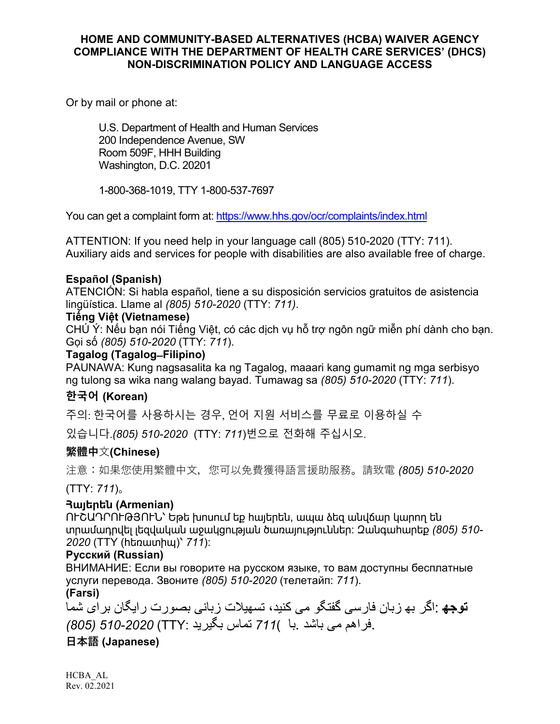#### **HOME AND COMMUNITY-BASED ALTERNATIVES (HCBA) WAIVER AGENCY COMPLIANCE WITH THE DEPARTMENT OF HEALTH CARE SERVICES' (DHCS) NON-DISCRIMINATION POLICY AND LANGUAGE ACCESS**

Or by mail or phone at:

U.S. Department of Health and Human Services 200 Independence Avenue, SW Room 509F, HHH Building Washington, D.C. 20201

1-800-368-1019, TTY 1-800-537-7697

You can get a complaint form at[: https://www.hhs.gov/ocr/complaints/index.html](https://www.hhs.gov/ocr/complaints/index.html)

ATTENTION: If you need help in your language call (805) 510-2020 (TTY: 711). Auxiliary aids and services for people with disabilities are also available free of charge.

#### **Español (Spanish)**

ATENCIÓN: Si habla español, tiene a su disposición servicios gratuitos de asistencia lingüística. Llame al *(805) 510-2020* (TTY: *711)*.

#### **Tiếng Việt (Vietnamese)**

CHÚ Ý: Nếu bạn nói Tiếng Việt, có các dịch vụ hỗ trợ ngôn ngữ miễn phí dành cho bạn. Gọi số *(805) 510-2020* (TTY: *711*).

#### **Tagalog (Tagalog ̶Filipino)**

PAUNAWA: Kung nagsasalita ka ng Tagalog, maaari kang gumamit ng mga serbisyo ng tulong sa wika nang walang bayad. Tumawag sa *(805) 510-2020* (TTY: *711*).

## **한국어 (Korean)**

주의: 한국어를 사용하시는 경우, 언어 지원 서비스를 무료로 이용하실 수

있습니다.*(805) 510-2020* (TTY: *711*)번으로 전화해 주십시오.

## **繁體中**文**(Chinese)**

注意:如果您使用繁體中文,您可以免費獲得語言援助服務。請致電 *(805) 510-2020* 

(TTY: *711*)。

#### **Հայերեն (Armenian)**

ՈՒՇԱԴՐՈՒԹՅՈՒՆ՝ Եթե խոսում եք հայերեն, ապա ձեզ անվճար կարող են տրամադրվել լեզվական աջակցության ծառայություններ: Զանգահարեք *(805) 510- 2020* (TTY (հեռատիպ)՝ *711*):

#### **Русский (Russian)**

ВНИМАНИЕ: Если вы говорите на русском языке, то вам доступны бесплатные услуги перевода. Звоните *(805) 510-2020* (телетайп: *711*).

**(Farsi)**

**توجھ** :اگر بھ زبان فارسی گفتگو می کنید، تسھیلات زبانی بصورت رایگان برای شما .فراھم می باشد .با )*711* تماس بگیرید :TTY (*510-2020) 805(*

## **日本語 (Japanese)**